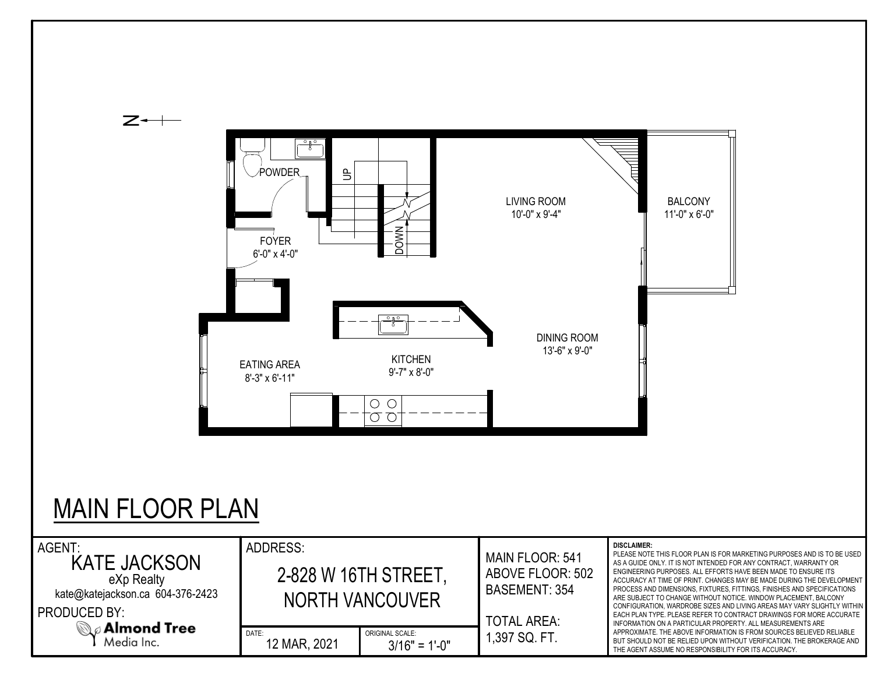

## MAIN FLOOR PLAN

| AGENT:<br><b>KATE JACKSON</b><br>eXp Realty<br>kate@katejackson.ca 604-376-2423 | ADDRESS:<br>2-828 W 16TH STREET,<br>NORTH VANCOUVER |                                    | <b>MAIN FLOOR: 541</b><br>ABOVE FLOOR: 502<br>BASEMENT: 354 | <b>DISCLAIMER:</b><br>PLEASE NOTE THIS FLOOR PLAN IS FOR MARKETING PURPOSES AND IS TO BE USED<br>AS A GUIDE ONLY. IT IS NOT INTENDED FOR ANY CONTRACT, WARRANTY OR<br>ENGINEERING PURPOSES. ALL EFFORTS HAVE BEEN MADE TO ENSURE ITS<br>ACCURACY AT TIME OF PRINT. CHANGES MAY BE MADE DURING THE DEVELOPMENT<br>PROCESS AND DIMENSIONS, FIXTURES, FITTINGS, FINISHES AND SPECIFICATIONS<br>ARE SUBJECT TO CHANGE WITHOUT NOTICE. WINDOW PLACEMENT. BALCONY |
|---------------------------------------------------------------------------------|-----------------------------------------------------|------------------------------------|-------------------------------------------------------------|-------------------------------------------------------------------------------------------------------------------------------------------------------------------------------------------------------------------------------------------------------------------------------------------------------------------------------------------------------------------------------------------------------------------------------------------------------------|
| <b>PRODUCED BY:</b><br>$\mathbb{Q}_{\mathscr{Q}}$ Almond Tree<br>Media Inc.     | DATE:<br>12 MAR, 2021                               | ORIGINAL SCALE:<br>$3/16" = 1'-0"$ | <b>TOTAL AREA:</b><br>1,397 SQ. FT.                         | CONFIGURATION, WARDROBE SIZES AND LIVING AREAS MAY VARY SLIGHTLY WITHIN<br>EACH PLAN TYPE. PLEASE REFER TO CONTRACT DRAWINGS FOR MORE ACCURATE<br>INFORMATION ON A PARTICULAR PROPERTY. ALL MEASUREMENTS ARE<br>APPROXIMATE. THE ABOVE INFORMATION IS FROM SOURCES BELIEVED RELIABLE<br>BUT SHOULD NOT BE RELIED UPON WITHOUT VERIFICATION. THE BROKERAGE AND<br>THE AGENT ASSUME NO RESPONSIBILITY FOR ITS ACCURACY.                                       |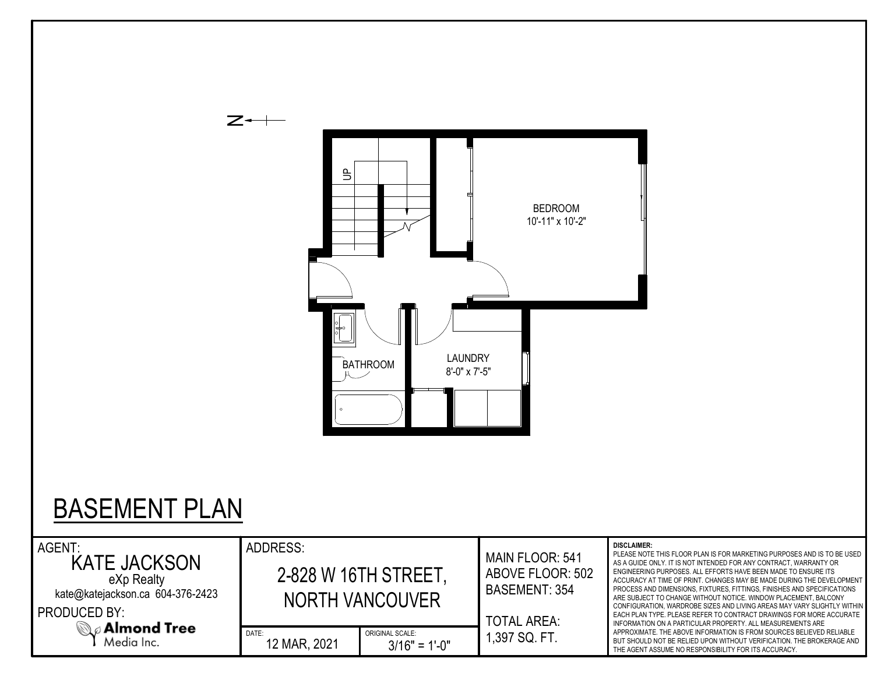

## BASEMENT PLAN

| AGENT:<br><b>KATE JACKSON</b><br>eXp Realty                                                              | ADDRESS:<br>2-828 W 16TH STREET. |                                    | <b>MAIN FLOOR: 541</b><br>ABOVE FLOOR: 502<br>BASEMENT: 354<br><b>TOTAL AREA:</b> | <b>DISCLAIMER:</b><br>PLEASE NOTE THIS FLOOR PLAN IS FOR MARKETING PURPOSES AND IS TO BE USED<br>AS A GUIDE ONLY. IT IS NOT INTENDED FOR ANY CONTRACT, WARRANTY OR<br>ENGINEERING PURPOSES. ALL EFFORTS HAVE BEEN MADE TO ENSURE ITS<br>ACCURACY AT TIME OF PRINT. CHANGES MAY BE MADE DURING THE DEVELOPMENT<br>PROCESS AND DIMENSIONS, FIXTURES, FITTINGS, FINISHES AND SPECIFICATIONS<br>ARE SUBJECT TO CHANGE WITHOUT NOTICE. WINDOW PLACEMENT. BALCONY<br>CONFIGURATION, WARDROBE SIZES AND LIVING AREAS MAY VARY SLIGHTLY WITHIN<br>EACH PLAN TYPE. PLEASE REFER TO CONTRACT DRAWINGS FOR MORE ACCURATE<br>INFORMATION ON A PARTICULAR PROPERTY. ALL MEASUREMENTS ARE |
|----------------------------------------------------------------------------------------------------------|----------------------------------|------------------------------------|-----------------------------------------------------------------------------------|-----------------------------------------------------------------------------------------------------------------------------------------------------------------------------------------------------------------------------------------------------------------------------------------------------------------------------------------------------------------------------------------------------------------------------------------------------------------------------------------------------------------------------------------------------------------------------------------------------------------------------------------------------------------------------|
| kate@katejackson.ca 604-376-2423<br><b>PRODUCED BY:</b><br>$\mathbb{Q}_{\ell}$ Almond Tree<br>Media Inc. | NORTH VANCOUVER                  |                                    |                                                                                   |                                                                                                                                                                                                                                                                                                                                                                                                                                                                                                                                                                                                                                                                             |
|                                                                                                          | DATE:<br>12 MAR, 2021            | ORIGINAL SCALE:<br>$3/16" = 1'-0"$ | 1,397 SQ. FT.                                                                     | APPROXIMATE. THE ABOVE INFORMATION IS FROM SOURCES BELIEVED RELIABLE<br>BUT SHOULD NOT BE RELIED UPON WITHOUT VERIFICATION. THE BROKERAGE AND<br>THE AGENT ASSUME NO RESPONSIBILITY FOR ITS ACCURACY.                                                                                                                                                                                                                                                                                                                                                                                                                                                                       |